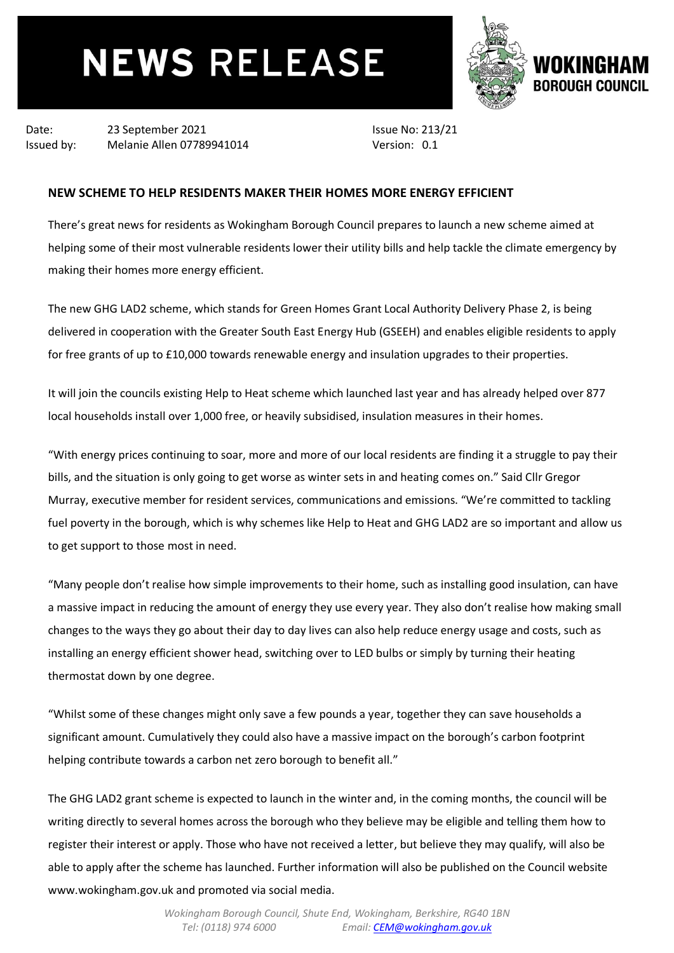## **NEWS RELEASE**



Date: 23 September 2021 Issued by: Melanie Allen 07789941014 Issue No: 213/21 Version: 0.1

## **NEW SCHEME TO HELP RESIDENTS MAKER THEIR HOMES MORE ENERGY EFFICIENT**

There's great news for residents as Wokingham Borough Council prepares to launch a new scheme aimed at helping some of their most vulnerable residents lower their utility bills and help tackle the climate emergency by making their homes more energy efficient.

The new GHG LAD2 scheme, which stands for Green Homes Grant Local Authority Delivery Phase 2, is being delivered in cooperation with the Greater South East Energy Hub (GSEEH) and enables eligible residents to apply for free grants of up to £10,000 towards renewable energy and insulation upgrades to their properties.

It will join the councils existing Help to Heat scheme which launched last year and has already helped over 877 local households install over 1,000 free, or heavily subsidised, insulation measures in their homes.

"With energy prices continuing to soar, more and more of our local residents are finding it a struggle to pay their bills, and the situation is only going to get worse as winter sets in and heating comes on." Said Cllr Gregor Murray, executive member for resident services, communications and emissions. "We're committed to tackling fuel poverty in the borough, which is why schemes like Help to Heat and GHG LAD2 are so important and allow us to get support to those most in need.

"Many people don't realise how simple improvements to their home, such as installing good insulation, can have a massive impact in reducing the amount of energy they use every year. They also don't realise how making small changes to the ways they go about their day to day lives can also help reduce energy usage and costs, such as installing an energy efficient shower head, switching over to LED bulbs or simply by turning their heating thermostat down by one degree.

"Whilst some of these changes might only save a few pounds a year, together they can save households a significant amount. Cumulatively they could also have a massive impact on the borough's carbon footprint helping contribute towards a carbon net zero borough to benefit all."

The GHG LAD2 grant scheme is expected to launch in the winter and, in the coming months, the council will be writing directly to several homes across the borough who they believe may be eligible and telling them how to register their interest or apply. Those who have not received a letter, but believe they may qualify, will also be able to apply after the scheme has launched. Further information will also be published on the Council website www.wokingham.gov.uk and promoted via social media.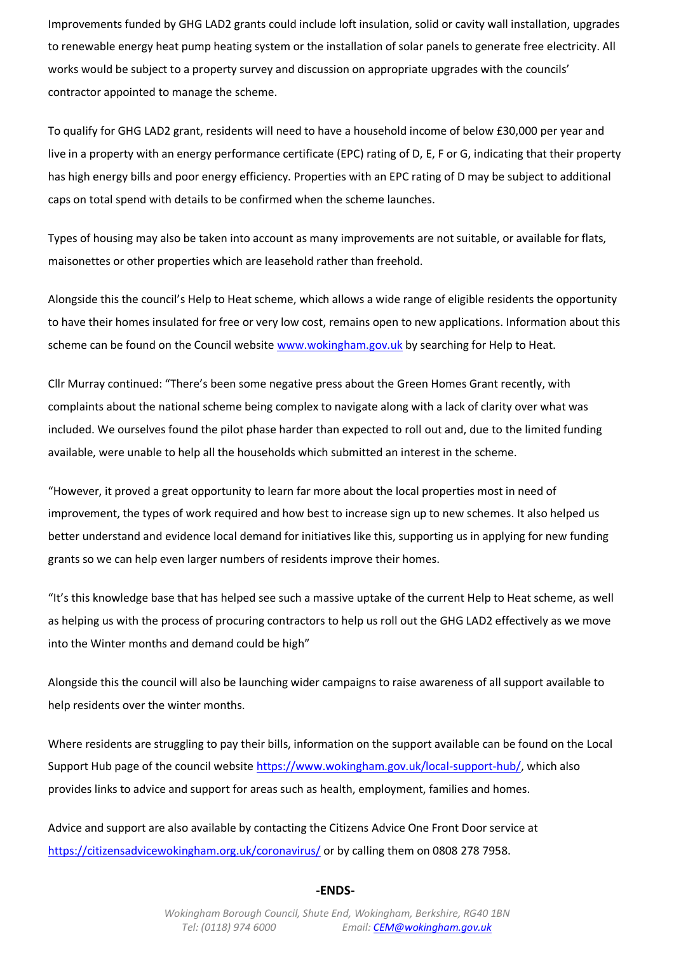Improvements funded by GHG LAD2 grants could include loft insulation, solid or cavity wall installation, upgrades to renewable energy heat pump heating system or the installation of solar panels to generate free electricity. All works would be subject to a property survey and discussion on appropriate upgrades with the councils' contractor appointed to manage the scheme.

To qualify for GHG LAD2 grant, residents will need to have a household income of below £30,000 per year and live in a property with an energy performance certificate (EPC) rating of D, E, F or G, indicating that their property has high energy bills and poor energy efficiency. Properties with an EPC rating of D may be subject to additional caps on total spend with details to be confirmed when the scheme launches.

Types of housing may also be taken into account as many improvements are not suitable, or available for flats, maisonettes or other properties which are leasehold rather than freehold.

Alongside this the council's Help to Heat scheme, which allows a wide range of eligible residents the opportunity to have their homes insulated for free or very low cost, remains open to new applications. Information about this scheme can be found on the Council website [www.wokingham.gov.uk](http://www.wokingham.gov.uk/) by searching for Help to Heat.

Cllr Murray continued: "There's been some negative press about the Green Homes Grant recently, with complaints about the national scheme being complex to navigate along with a lack of clarity over what was included. We ourselves found the pilot phase harder than expected to roll out and, due to the limited funding available, were unable to help all the households which submitted an interest in the scheme.

"However, it proved a great opportunity to learn far more about the local properties most in need of improvement, the types of work required and how best to increase sign up to new schemes. It also helped us better understand and evidence local demand for initiatives like this, supporting us in applying for new funding grants so we can help even larger numbers of residents improve their homes.

"It's this knowledge base that has helped see such a massive uptake of the current Help to Heat scheme, as well as helping us with the process of procuring contractors to help us roll out the GHG LAD2 effectively as we move into the Winter months and demand could be high"

Alongside this the council will also be launching wider campaigns to raise awareness of all support available to help residents over the winter months.

Where residents are struggling to pay their bills, information on the support available can be found on the Local Support Hub page of the council website [https://www.wokingham.gov.uk/local-support-hub/,](https://www.wokingham.gov.uk/local-support-hub/) which also provides links to advice and support for areas such as health, employment, families and homes.

Advice and support are also available by contacting the Citizens Advice One Front Door service at <https://citizensadvicewokingham.org.uk/coronavirus/> or by calling them on 0808 278 7958.

## **-ENDS-**